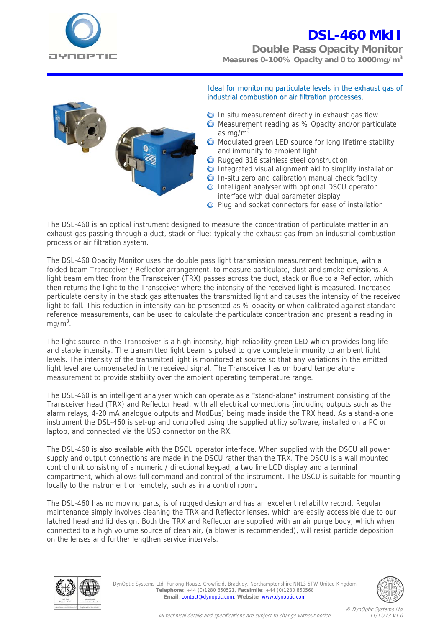

**Double Pass Opacity Monitor Measures 0-100% Opacity and 0 to 1000mg/m3**



Ideal for monitoring particulate levels in the exhaust gas of industrial combustion or air filtration processes.

- $\bullet$  In situ measurement directly in exhaust gas flow
- **O** Measurement reading as % Opacity and/or particulate as mg/ $m<sup>3</sup>$
- $\bullet$ Modulated green LED source for long lifetime stability and immunity to ambient light
- **Q** Rugged 316 stainless steel construction
- Integrated visual alignment aid to simplify installation
- **O** In-situ zero and calibration manual check facility
- **O** Intelligent analyser with optional DSCU operator interface with dual parameter display
- **O** Plug and socket connectors for ease of installation

The DSL-460 is an optical instrument designed to measure the concentration of particulate matter in an exhaust gas passing through a duct, stack or flue; typically the exhaust gas from an industrial combustion process or air filtration system.

The DSL-460 Opacity Monitor uses the double pass light transmission measurement technique, with a folded beam Transceiver / Reflector arrangement, to measure particulate, dust and smoke emissions. A light beam emitted from the Transceiver (TRX) passes across the duct, stack or flue to a Reflector, which then returns the light to the Transceiver where the intensity of the received light is measured. Increased particulate density in the stack gas attenuates the transmitted light and causes the intensity of the received light to fall. This reduction in intensity can be presented as % opacity or when calibrated against standard reference measurements, can be used to calculate the particulate concentration and present a reading in  $mg/m<sup>3</sup>$ .

The light source in the Transceiver is a high intensity, high reliability green LED which provides long life and stable intensity. The transmitted light beam is pulsed to give complete immunity to ambient light levels. The intensity of the transmitted light is monitored at source so that any variations in the emitted light level are compensated in the received signal. The Transceiver has on board temperature measurement to provide stability over the ambient operating temperature range.

The DSL-460 is an intelligent analyser which can operate as a "stand-alone" instrument consisting of the Transceiver head (TRX) and Reflector head, with all electrical connections (including outputs such as the alarm relays, 4-20 mA analogue outputs and ModBus) being made inside the TRX head. As a stand-alone instrument the DSL-460 is set-up and controlled using the supplied utility software, installed on a PC or laptop, and connected via the USB connector on the RX.

The DSL-460 is also available with the DSCU operator interface. When supplied with the DSCU all power supply and output connections are made in the DSCU rather than the TRX. The DSCU is a wall mounted control unit consisting of a numeric / directional keypad, a two line LCD display and a terminal compartment, which allows full command and control of the instrument. The DSCU is suitable for mounting locally to the instrument or remotely, such as in a control room**.** 

The DSL-460 has no moving parts, is of rugged design and has an excellent reliability record. Regular maintenance simply involves cleaning the TRX and Reflector lenses, which are easily accessible due to our latched head and lid design. Both the TRX and Reflector are supplied with an air purge body, which when connected to a high volume source of clean air, (a blower is recommended), will resist particle deposition on the lenses and further lengthen service intervals.



DynOptic Systems Ltd, Furlong House, Crowfield, Brackley, Northamptonshire NN13 5TW United Kingdom **Telephone**: +44 (0)1280 850521, **Facsimile**: +44 (0)1280 850568 **Email**: contact@dynoptic.com, **Website**: www.dynoptic.com



© DynOptic Systems Ltd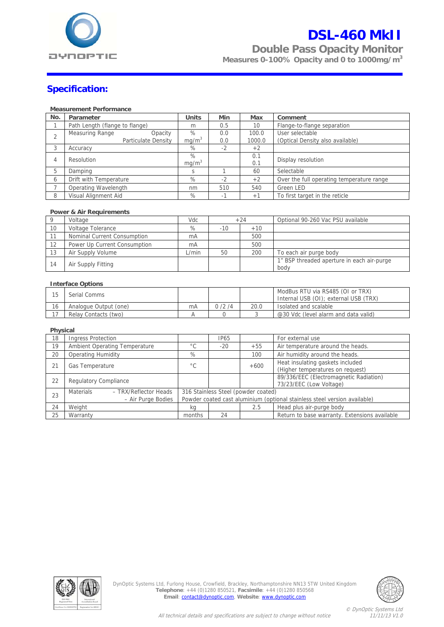

**Double Pass Opacity Monitor** 

**Measures 0-100% Opacity and 0 to 1000mg/m3**

### **Specification:**

#### **Measurement Performance**

| No. | Parameter                      | <b>Units</b>      | Min                      | Max    | Comment                                   |
|-----|--------------------------------|-------------------|--------------------------|--------|-------------------------------------------|
|     | Path Length (flange to flange) | m                 | 0.5                      | 10     | Flange-to-flange separation               |
|     | Measuring Range<br>Opacity     | $\%$              | 0.0                      | 100.0  | User selectable                           |
|     | Particulate Density            | mg/m <sup>3</sup> | 0.0                      | 1000.0 | (Optical Density also available)          |
| 3   | Accuracy                       | $\%$              | $-2$                     | $+2$   |                                           |
| 4   | Resolution                     | %                 |                          | 0.1    | Display resolution                        |
|     |                                | mq/m <sup>3</sup> |                          | 0.1    |                                           |
| 5   | Damping                        | S                 |                          | 60     | Selectable                                |
| 6   | Drift with Temperature         | %                 | $-2$                     | $+2$   | Over the full operating temperature range |
|     | Operating Wavelength           | nm                | 510                      | 540    | Green LED                                 |
| 8   | Visual Alignment Aid           | %                 | $\overline{\phantom{a}}$ | $+1$   | To first target in the reticle            |

#### **Power & Air Requirements**

|    | Voltage                      | Vdc   |       | $+24$     | Optional 90-260 Vac PSU available                  |
|----|------------------------------|-------|-------|-----------|----------------------------------------------------|
| 10 | Voltage Tolerance            | %     | $-10$ | $+10^{-}$ |                                                    |
|    | Nominal Current Consumption  | mA    |       | 500       |                                                    |
| 12 | Power Up Current Consumption | mA    |       | 500       |                                                    |
| 13 | Air Supply Volume            | L/min | 50    | 200       | To each air purge body                             |
| 14 | Air Supply Fitting           |       |       |           | 1" BSP threaded aperture in each air-purge<br>body |

#### **Interface Options**

|    | Serial Comms          |    |       |      | ModBus RTU via RS485 (OI or TRX)<br>Internal USB (OI): external USB (TRX) |
|----|-----------------------|----|-------|------|---------------------------------------------------------------------------|
| 16 | Analogue Output (one) | mΑ | 0/2/4 | 20.0 | Isolated and scalable                                                     |
|    | Relay Contacts (two)  |    |       |      | @30 Vdc (level alarm and data valid)                                      |

#### **Physical**

| 89/336/EEC (Electromagnetic Radiation)                                    |  |  |  |
|---------------------------------------------------------------------------|--|--|--|
|                                                                           |  |  |  |
| 316 Stainless Steel (powder coated)                                       |  |  |  |
| Powder coated cast aluminium (optional stainless steel version available) |  |  |  |
|                                                                           |  |  |  |
| Return to base warranty. Extensions available                             |  |  |  |
|                                                                           |  |  |  |



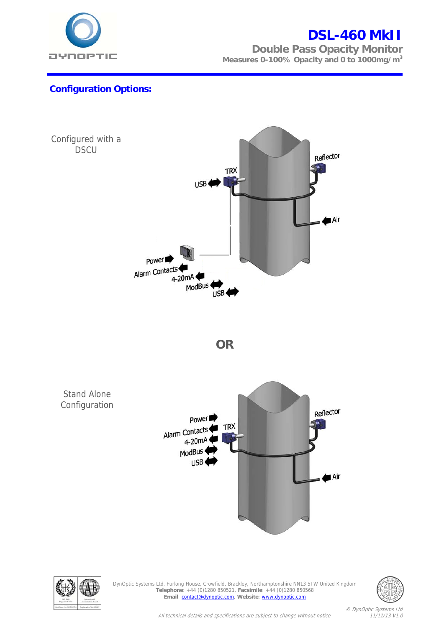

**Double Pass Opacity Monitor Measures 0-100% Opacity and 0 to 1000mg/m3**

### **Configuration Options:**





DynOptic Systems Ltd, Furlong House, Crowfield, Brackley, Northamptonshire NN13 5TW United Kingdom **Telephone**: +44 (0)1280 850521, **Facsimile**: +44 (0)1280 850568 **Email**: contact@dynoptic.com, **Website**: www.dynoptic.com



© DynOptic Systems Ltd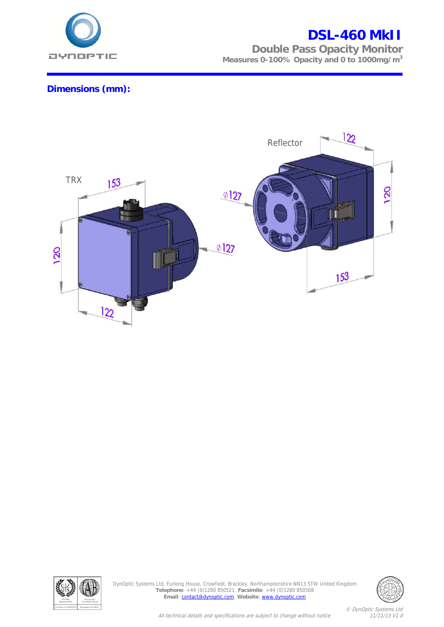

**Double Pass Opacity Monitor Measures 0-100% Opacity and 0 to 1000mg/m3**

### **Dimensions (mm):**





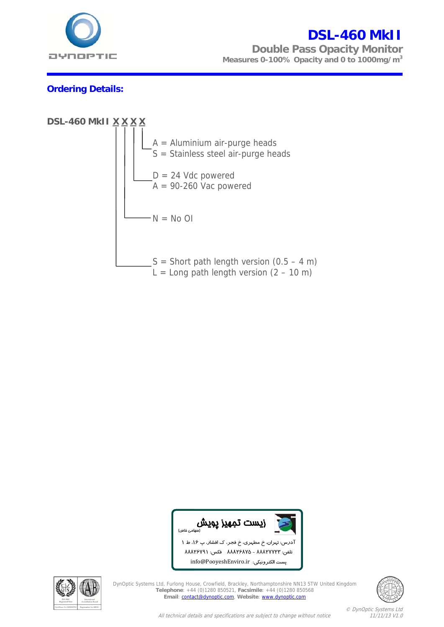

**Double Pass Opacity Monitor Measures 0-100% Opacity and 0 to 1000mg/m3**

### **Ordering Details:**





in nfo@PooyeshEnv viro.ir :الكترونيكي پست ا



DynOptic Systems Ltd, Furlong House, Crowfield, Brackley, Northamptonshire NN13 5TW United Kingdom<br>
Telephone: +44 (0)1280 850521, Facsimile: +44 (0)1280 85054<br>
The Lincit of Maritim and Constitution of the Care of The Cit **Telephone**: +44 (0)1280 850521, **Facsimile**: +44 (0)1280 850568 **Email**: contact@dynoptic.com, **Website**: www.dynoptic.com i. vne: +44 (0)1280 850521, Facsimile: +44 (0)1280 850568<br>il: <u>contact@dynoptic.com</u>, Website: <u>www.dynoptic.com</u>



All technical details and specifications are subject to change without notice 11/11/13 V1.0 ،1 ط 1 فجر، ك افشار، پ 16 888 فكس: 26791 826 - 888<br>826 - 888 تلفن: 723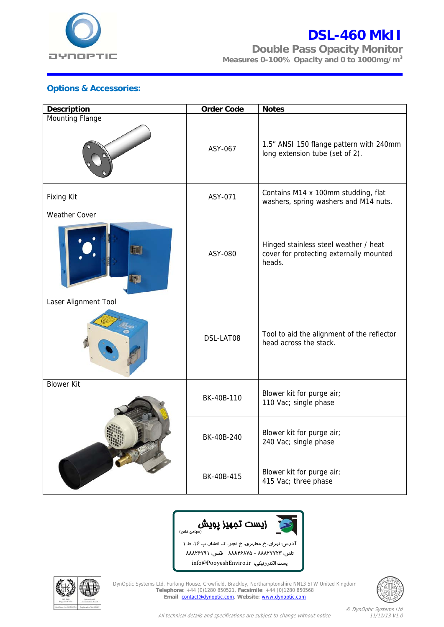

**Double Pass Opacity Monitor Measures 0-100% Opacity and 0 to 1000mg/m3**

### **Options & Accessories:**

| <b>Description</b>        | <b>Order Code</b> | <b>Notes</b>                                                                               |
|---------------------------|-------------------|--------------------------------------------------------------------------------------------|
| Mounting Flange           | ASY-067           | 1.5" ANSI 150 flange pattern with 240mm<br>long extension tube (set of 2).                 |
| <b>Fixing Kit</b>         | ASY-071           | Contains M14 x 100mm studding, flat<br>washers, spring washers and M14 nuts.               |
| <b>Weather Cover</b><br>血 | ASY-080           | Hinged stainless steel weather / heat<br>cover for protecting externally mounted<br>heads. |
| Laser Alignment Tool      |                   |                                                                                            |
|                           | DSL-LAT08         | Tool to aid the alignment of the reflector<br>head across the stack.                       |
| <b>Blower Kit</b>         | BK-40B-110        | Blower kit for purge air;<br>110 Vac; single phase                                         |
|                           | BK-40B-240        | Blower kit for purge air;<br>240 Vac; single phase                                         |
|                           | BK-40B-415        | Blower kit for purge air;<br>415 Vac; three phase                                          |



نلفن: ٨٨٨٢٧٧٢٣ - ٨٨٨٢٦ ٨٤مه فكس: ٨٨٨٢٦٧٩١ in nfo@PooyeshEnv viro.ir :الكترونيكي پست ا



DynOptic Systems Ltd, Furlong House, Crowfield, Brackley, Northamptonshire NN13 5TW United Kingdom **Telephone**: +44 (0)1280 850521, **Facsimile**: +44 (0)1280 850568 **Email**: contact@dynoptic.com, **Website**: www.dynoptic.com  $\overline{\phantom{a}}$ ne: +44 (0)1280 850521, Facsimile: +44 (0)1280 850568<br>I: <u>contact@dynoptic.com</u>, Website: <u>www.dynoptic.com</u>



All technical details and specifications are subject to change without notice 11/11/13 V1.0 ،1 ط 1 فجر، ك افشار، پ 16 ران، خ مطهري، خ فج آدرس: تهر